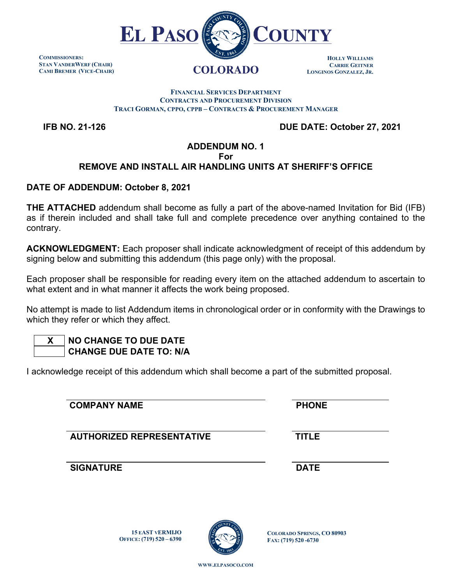

**COMMISSIONERS: STAN VANDERWERF (CHAIR) CAMI BREMER (VICE-CHAIR)**

#### **HOLLY WILLIAMS CARRIE GEITNER LONGINOS GONZALEZ, JR.**

**FINANCIAL SERVICES DEPARTMENT CONTRACTS AND PROCUREMENT DIVISION TRACI GORMAN, CPPO, CPPB – CONTRACTS & PROCUREMENT MANAGER**

 **IFB NO. 21-126 DUE DATE: October 27, 2021**

## **ADDENDUM NO. 1 For REMOVE AND INSTALL AIR HANDLING UNITS AT SHERIFF'S OFFICE**

## **DATE OF ADDENDUM: October 8, 2021**

**THE ATTACHED** addendum shall become as fully a part of the above-named Invitation for Bid (IFB) as if therein included and shall take full and complete precedence over anything contained to the contrary.

**ACKNOWLEDGMENT:** Each proposer shall indicate acknowledgment of receipt of this addendum by signing below and submitting this addendum (this page only) with the proposal.

Each proposer shall be responsible for reading every item on the attached addendum to ascertain to what extent and in what manner it affects the work being proposed.

No attempt is made to list Addendum items in chronological order or in conformity with the Drawings to which they refer or which they affect.

# **X NO CHANGE TO DUE DATE CHANGE DUE DATE TO: N/A**

I acknowledge receipt of this addendum which shall become a part of the submitted proposal.

**COMPANY NAME PHONE AUTHORIZED REPRESENTATIVE TITLE SIGNATURE DATE**

> **15 EAST VERMIJO OFFICE: (719) 520 – 6390**



**COLORADO SPRINGS, CO 80903 FAX: (719) 520 -6730**

**WWW.ELPASOCO.COM**